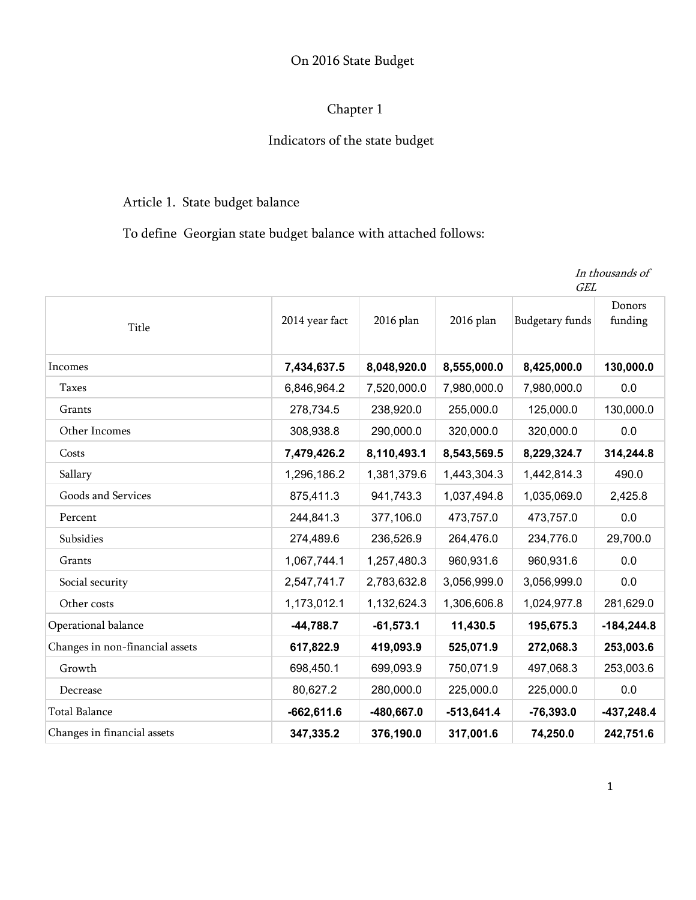## On 2016 State Budget

# Chapter 1

# Indicators of the state budget

# Article 1. State budget balance

To define Georgian state budget balance with attached follows:

|                                 |                | <b>GEL</b>   |              |                        |                   |
|---------------------------------|----------------|--------------|--------------|------------------------|-------------------|
| Title                           | 2014 year fact | 2016 plan    | 2016 plan    | <b>Budgetary funds</b> | Donors<br>funding |
| Incomes                         | 7,434,637.5    | 8,048,920.0  | 8,555,000.0  | 8,425,000.0            | 130,000.0         |
| <b>Taxes</b>                    | 6,846,964.2    | 7,520,000.0  | 7,980,000.0  | 7,980,000.0            | 0.0               |
| Grants                          | 278,734.5      | 238,920.0    | 255,000.0    | 125,000.0              | 130,000.0         |
| Other Incomes                   | 308,938.8      | 290,000.0    | 320,000.0    | 320,000.0              | 0.0               |
| Costs                           | 7,479,426.2    | 8,110,493.1  | 8,543,569.5  | 8,229,324.7            | 314,244.8         |
| Sallary                         | 1,296,186.2    | 1,381,379.6  | 1,443,304.3  | 1,442,814.3            | 490.0             |
| Goods and Services              | 875,411.3      | 941,743.3    | 1,037,494.8  | 1,035,069.0            | 2,425.8           |
| Percent                         | 244,841.3      | 377,106.0    | 473,757.0    | 473,757.0              | 0.0               |
| Subsidies                       | 274,489.6      | 236,526.9    | 264,476.0    | 234,776.0              | 29,700.0          |
| Grants                          | 1,067,744.1    | 1,257,480.3  | 960,931.6    | 960,931.6              | 0.0               |
| Social security                 | 2,547,741.7    | 2,783,632.8  | 3,056,999.0  | 3,056,999.0            | 0.0               |
| Other costs                     | 1,173,012.1    | 1,132,624.3  | 1,306,606.8  | 1,024,977.8            | 281,629.0         |
| Operational balance             | $-44,788.7$    | $-61,573.1$  | 11,430.5     | 195,675.3              | $-184,244.8$      |
| Changes in non-financial assets | 617,822.9      | 419,093.9    | 525,071.9    | 272,068.3              | 253,003.6         |
| Growth                          | 698,450.1      | 699,093.9    | 750,071.9    | 497,068.3              | 253,003.6         |
| Decrease                        | 80,627.2       | 280,000.0    | 225,000.0    | 225,000.0              | 0.0               |
| <b>Total Balance</b>            | $-662,611.6$   | $-480,667.0$ | $-513,641.4$ | $-76,393.0$            | $-437,248.4$      |
| Changes in financial assets     | 347,335.2      | 376,190.0    | 317,001.6    | 74,250.0               | 242,751.6         |

1

In thousands of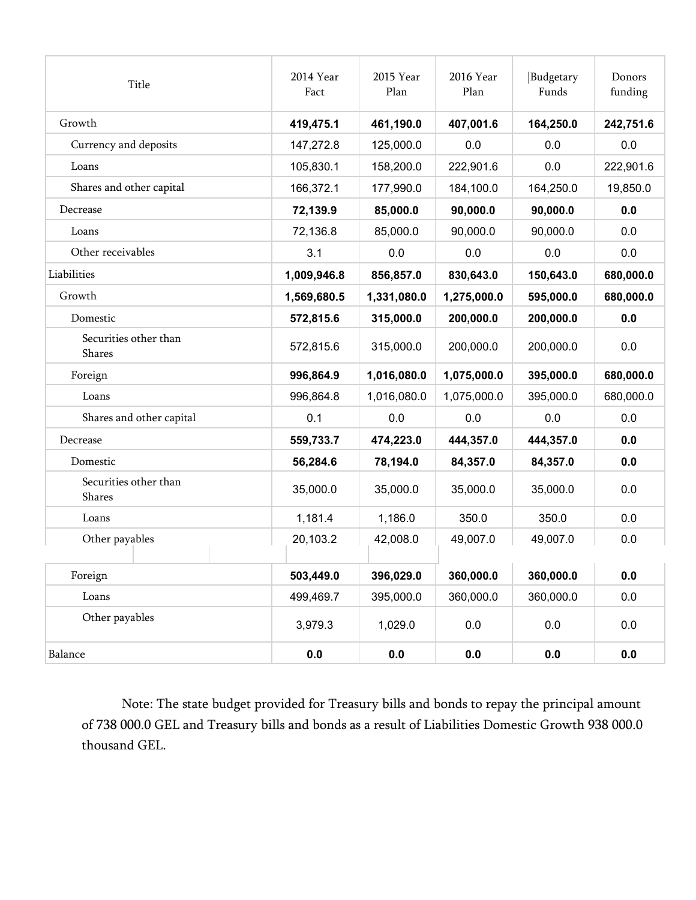| Title                           | 2014 Year<br>Fact | 2015 Year<br>Plan | 2016 Year<br>Plan | Budgetary<br>Funds | Donors<br>funding |
|---------------------------------|-------------------|-------------------|-------------------|--------------------|-------------------|
| Growth                          | 419,475.1         | 461,190.0         | 407,001.6         | 164,250.0          | 242,751.6         |
| Currency and deposits           | 147,272.8         | 125,000.0         | 0.0               | 0.0                | 0.0               |
| Loans                           | 105,830.1         | 158,200.0         | 222,901.6         | 0.0                | 222,901.6         |
| Shares and other capital        | 166,372.1         | 177,990.0         | 184,100.0         | 164,250.0          | 19,850.0          |
| Decrease                        | 72,139.9          | 85,000.0          | 90,000.0          | 90,000.0           | 0.0               |
| Loans                           | 72,136.8          | 85,000.0          | 90,000.0          | 90,000.0           | 0.0               |
| Other receivables               | 3.1               | 0.0               | 0.0               | 0.0                | 0.0               |
| Liabilities                     | 1,009,946.8       | 856,857.0         | 830,643.0         | 150,643.0          | 680,000.0         |
| Growth                          | 1,569,680.5       | 1,331,080.0       | 1,275,000.0       | 595,000.0          | 680,000.0         |
| Domestic                        | 572,815.6         | 315,000.0         | 200,000.0         | 200,000.0          | 0.0               |
| Securities other than<br>Shares | 572,815.6         | 315,000.0         | 200,000.0         | 200,000.0          | 0.0               |
| Foreign                         | 996,864.9         | 1,016,080.0       | 1,075,000.0       | 395,000.0          | 680,000.0         |
| Loans                           | 996,864.8         | 1,016,080.0       | 1,075,000.0       | 395,000.0          | 680,000.0         |
| Shares and other capital        | 0.1               | 0.0               | 0.0               | 0.0                | 0.0               |
| Decrease                        | 559,733.7         | 474,223.0         | 444,357.0         | 444,357.0          | 0.0               |
| Domestic                        | 56,284.6          | 78,194.0          | 84,357.0          | 84,357.0           | 0.0               |
| Securities other than<br>Shares | 35,000.0          | 35,000.0          | 35,000.0          | 35,000.0           | 0.0               |
| Loans                           | 1,181.4           | 1,186.0           | 350.0             | 350.0              | 0.0               |
| Other payables                  | 20,103.2          | 42,008.0          | 49,007.0          | 49,007.0           | 0.0               |
| Foreign                         | 503,449.0         | 396,029.0         | 360,000.0         | 360,000.0          | 0.0               |
| Loans                           | 499,469.7         | 395,000.0         | 360,000.0         | 360,000.0          | 0.0               |
| Other payables                  | 3,979.3           | 1,029.0           | 0.0               | 0.0                | $0.0\,$           |
| Balance                         | $0.0\,$           | $0.0\,$           | $0.0\,$           | 0.0                | 0.0               |

Note: The state budget provided for Treasury bills and bonds to repay the principal amount of 738 000.0 GEL and Treasury bills and bonds as a result of Liabilities Domestic Growth 938 000.0 thousand GEL.